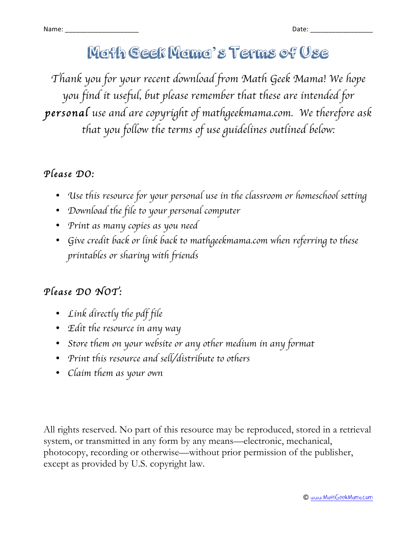## Math Geek Mama's Terms of Use

*Thank you for your recent download from Math Geek Mama! We hope you find it useful, but please remember that these are intended for personal use and are copyright of mathgeekmama.com. We therefore ask that you follow the terms of use guidelines outlined below:*

### *Please DO:*

- *Use this resource for your personal use in the classroom or homeschool setting*
- *Download the file to your personal computer*
- *Print as many copies as you need*
- *Give credit back or link back to mathgeekmama.com when referring to these printables or sharing with friends*

### *Please DO NOT:*

- *Link directly the pdf file*
- *Edit the resource in any way*
- *Store them on your website or any other medium in any format*
- *Print this resource and sell/distribute to others*
- *Claim them as your own*

All rights reserved. No part of this resource may be reproduced, stored in a retrieval system, or transmitted in any form by any means—electronic, mechanical, photocopy, recording or otherwise—without prior permission of the publisher, except as provided by U.S. copyright law.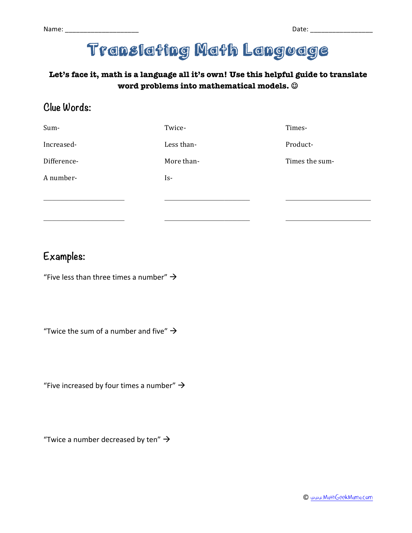# Translating Math Language

#### **Let's face it, math is a language all it's own! Use this helpful guide to translate**  word problems into mathematical models.  $\circledcirc$

#### **Clue Words:**

| Sum-        | Twice-     | Times-         |
|-------------|------------|----------------|
| Increased-  | Less than- | Product-       |
| Difference- | More than- | Times the sum- |
| A number-   | Is-        |                |
|             |            |                |
|             |            |                |

#### **Examples:**

"Five less than three times a number"  $\rightarrow$ 

"Twice the sum of a number and five"  $\rightarrow$ 

"Five increased by four times a number"  $\rightarrow$ 

"Twice a number decreased by ten"  $\rightarrow$